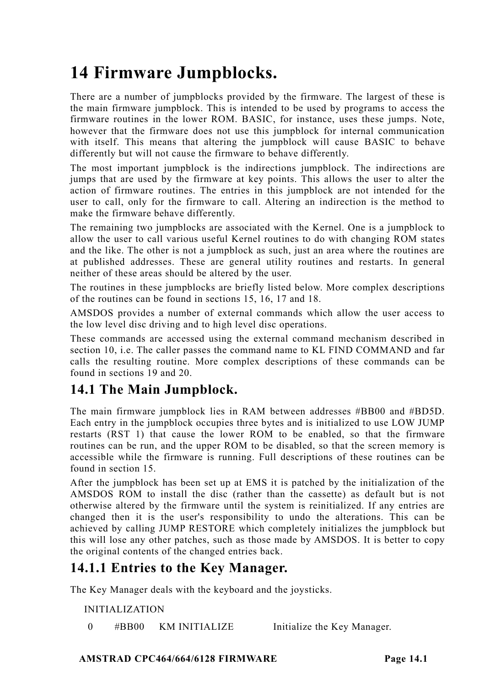# **14 Firmware Jumpblocks.**

There are a number of jumpblocks provided by the firmware. The largest of these is the main firmware jumpblock. This is intended to be used by programs to access the firmware routines in the lower ROM. BASIC, for instance, uses these jumps. Note, however that the firmware does not use this jumpblock for internal communication with itself. This means that altering the jumpblock will cause BASIC to behave differently but will not cause the firmware to behave differently.

The most important jumpblock is the indirections jumpblock. The indirections are jumps that are used by the firmware at key points. This allows the user to alter the action of firmware routines. The entries in this jumpblock are not intended for the user to call, only for the firmware to call. Altering an indirection is the method to make the firmware behave differently.

The remaining two jumpblocks are associated with the Kernel. One is a jumpblock to allow the user to call various useful Kernel routines to do with changing ROM states and the like. The other is not a jumpblock as such, just an area where the routines are at published addresses. These are general utility routines and restarts. In general neither of these areas should be altered by the user.

The routines in these jumpblocks are briefly listed below. More complex descriptions of the routines can be found in sections 15, 16, 17 and 18.

AMSDOS provides a number of external commands which allow the user access to the low level disc driving and to high level disc operations.

These commands are accessed using the external command mechanism described in section 10, i.e. The caller passes the command name to KL FIND COMMAND and far calls the resulting routine. More complex descriptions of these commands can be found in sections 19 and 20.

# **14.1 The Main Jumpblock.**

The main firmware jumpblock lies in RAM between addresses #BB00 and #BD5D. Each entry in the jumpblock occupies three bytes and is initialized to use LOW JUMP restarts (RST 1) that cause the lower ROM to be enabled, so that the firmware routines can be run, and the upper ROM to be disabled, so that the screen memory is accessible while the firmware is running. Full descriptions of these routines can be found in section 15.

After the jumpblock has been set up at EMS it is patched by the initialization of the AMSDOS ROM to install the disc (rather than the cassette) as default but is not otherwise altered by the firmware until the system is reinitialized. If any entries are changed then it is the user's responsibility to undo the alterations. This can be achieved by calling JUMP RESTORE which completely initializes the jumpblock but this will lose any other patches, such as those made by AMSDOS. It is better to copy the original contents of the changed entries back.

## **14.1.1 Entries to the Key Manager.**

The Key Manager deals with the keyboard and the joysticks.

#### INITIALIZATION

0 #BB00 KM INITIALIZE Initialize the Key Manager.

#### **AMSTRAD CPC464/664/6128 FIRMWARE Page 14.1**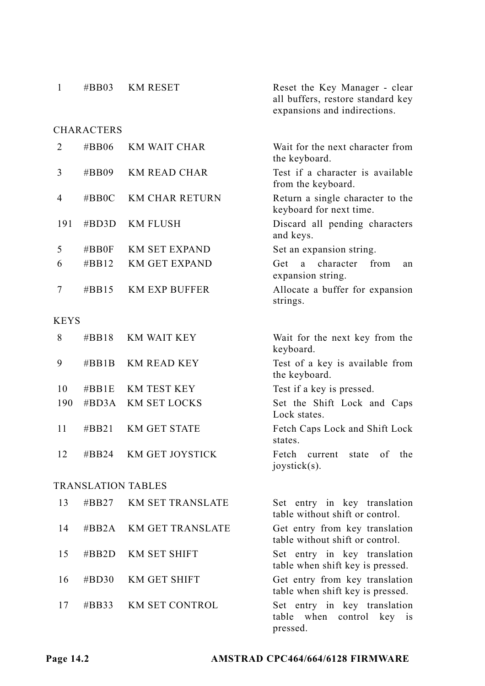| $\mathbf{1}$ | $\#BB03$          | <b>KM RESET</b>           | Reset the Key Manager - clear<br>all buffers, restore standard key<br>expansions and indirections. |
|--------------|-------------------|---------------------------|----------------------------------------------------------------------------------------------------|
|              | <b>CHARACTERS</b> |                           |                                                                                                    |
| 2            | $\#BB06$          | <b>KM WAIT CHAR</b>       | Wait for the next character from<br>the keyboard.                                                  |
| 3            | #BB09             | KM READ CHAR              | Test if a character is available<br>from the keyboard.                                             |
| 4            | $\#BBOC$          | <b>KM CHAR RETURN</b>     | Return a single character to the<br>keyboard for next time.                                        |
| 191          | $\#BD3D$          | <b>KM FLUSH</b>           | Discard all pending characters<br>and keys.                                                        |
| 5            | $\#BB0F$          | <b>KM SET EXPAND</b>      | Set an expansion string.                                                                           |
| 6            | $\#BB12$          | <b>KM GET EXPAND</b>      | a character<br>from<br>Get<br>an<br>expansion string.                                              |
| 7            | $\#BB15$          | <b>KM EXP BUFFER</b>      | Allocate a buffer for expansion<br>strings.                                                        |
| <b>KEYS</b>  |                   |                           |                                                                                                    |
| 8            | $\#BB18$          | <b>KM WAIT KEY</b>        | Wait for the next key from the<br>keyboard.                                                        |
| 9            | $\#BB1B$          | <b>KM READ KEY</b>        | Test of a key is available from<br>the keyboard.                                                   |
| 10           | $\#BB1E$          | <b>KM TEST KEY</b>        | Test if a key is pressed.                                                                          |
| 190          | #BD3A             | <b>KM SET LOCKS</b>       | Set the Shift Lock and Caps<br>Lock states.                                                        |
| 11           | $\#BB21$          | <b>KM GET STATE</b>       | Fetch Caps Lock and Shift Lock<br>states.                                                          |
| 12           | #BB24             | <b>KM GET JOYSTICK</b>    | Fetch<br>current<br>state<br>of<br>the<br>joystick(s).                                             |
|              |                   | <b>TRANSLATION TABLES</b> |                                                                                                    |
| 13           | #BB27             | <b>KM SET TRANSLATE</b>   | Set entry in key translation<br>table without shift or control.                                    |
| 14           | $\#BB2A$          | <b>KM GET TRANSLATE</b>   | Get entry from key translation<br>table without shift or control.                                  |
| 15           | $\#BB2D$          | KM SET SHIFT              | Set entry in key translation<br>table when shift key is pressed.                                   |
| 16           | $\#BD30$          | KM GET SHIFT              | Get entry from key translation<br>table when shift key is pressed.                                 |
| 17           | $\#BB33$          | <b>KM SET CONTROL</b>     | Set entry in key translation<br>table when<br>control key is<br>pressed.                           |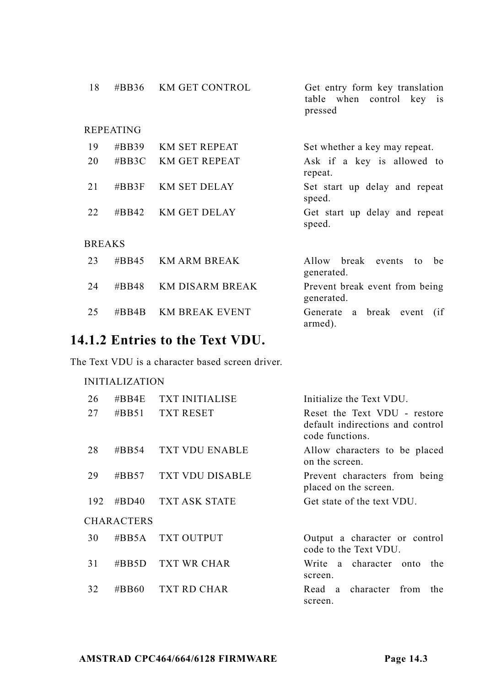| 18            | #BB36                     | <b>KM GET CONTROL</b>  | Get entry form key translation<br>table when control key is<br>pressed |
|---------------|---------------------------|------------------------|------------------------------------------------------------------------|
|               | <b>REPEATING</b>          |                        |                                                                        |
| 19            | $\#BB39$                  | <b>KM SET REPEAT</b>   | Set whether a key may repeat.                                          |
| 20            | $\#BB3C$                  | <b>KM GET REPEAT</b>   | Ask if a key is allowed to<br>repeat.                                  |
| 21            | $\#BB3F$                  | <b>KM SET DELAY</b>    | Set start up delay and repeat<br>speed.                                |
| 22            | $\# \text{B} \text{B}$ 42 | <b>KM GET DELAY</b>    | Get start up delay and repeat<br>speed.                                |
| <b>BREAKS</b> |                           |                        |                                                                        |
| 23            | $\#BB45$                  | <b>KM ARM BREAK</b>    | Allow break<br>events<br>be<br>to<br>generated.                        |
| 24            | #BB48                     | <b>KM DISARM BREAK</b> | Prevent break event from being<br>generated.                           |
| 25            | # $R$ R4 $R$              | <b>KM BREAK EVENT</b>  | break event<br>Generate a<br>(i f)<br>armed).                          |

# **14.1.2 Entries to the Text VDU.**

The Text VDU is a character based screen driver.

| 26  | $\#BB4E$          | <b>TXT INITIALISE</b>  | Initialize the Text VDU.                                                            |
|-----|-------------------|------------------------|-------------------------------------------------------------------------------------|
| 27  | #BB51             | <b>TXT RESET</b>       | Reset the Text VDU - restore<br>default indirections and control<br>code functions. |
| 28  | $\#BB54$          | <b>TXT VDU ENABLE</b>  | Allow characters to be placed<br>on the screen.                                     |
| 29  | #BB57             | <b>TXT VDU DISABLE</b> | Prevent characters from being<br>placed on the screen.                              |
| 192 | #BD40             | <b>TXT ASK STATE</b>   | Get state of the text VDU.                                                          |
|     | <b>CHARACTERS</b> |                        |                                                                                     |
| 30  | #BB5A             | <b>TXT OUTPUT</b>      | Output a character or control<br>code to the Text VDU.                              |
| 31  | $\#BB5D$          | <b>TXT WR CHAR</b>     | Write a character onto<br>the.<br>screen.                                           |
| 32  | #BB60             | TXT RD CHAR            | Read a character from<br>the<br>screen.                                             |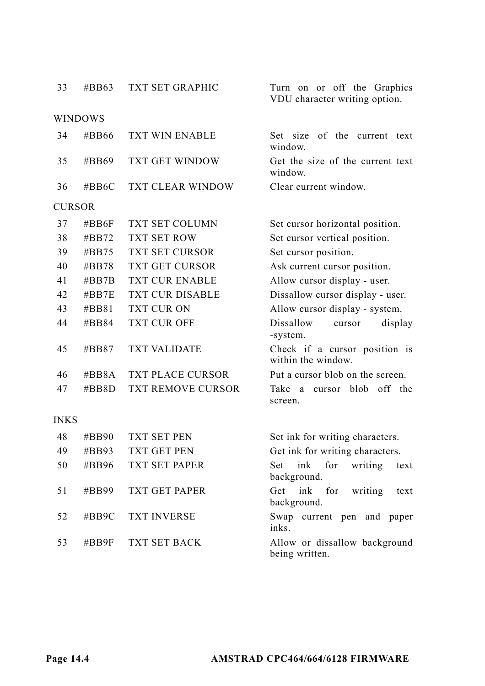| 33   | #BB63          | <b>TXT SET GRAPHIC</b>   | Turn on or off the Graphics<br>VDU character writing option. |
|------|----------------|--------------------------|--------------------------------------------------------------|
|      | <b>WINDOWS</b> |                          |                                                              |
| 34   | #BB66          | TXT WIN ENABLE           | of the current text<br>Set size<br>window.                   |
| 35   | #BB69          | TXT GET WINDOW           | Get the size of the current text<br>window.                  |
| 36   | #BB6C          | TXT CLEAR WINDOW         | Clear current window.                                        |
|      | <b>CURSOR</b>  |                          |                                                              |
| 37   | # $BB6F$       | TXT SET COLUMN           | Set cursor horizontal position.                              |
| 38   | $\#BB72$       | <b>TXT SET ROW</b>       | Set cursor vertical position.                                |
| 39   | $\#BB75$       | TXT SET CURSOR           | Set cursor position.                                         |
| 40   | $\#BB78$       | <b>TXT GET CURSOR</b>    | Ask current cursor position.                                 |
| 41   | $\#BB7B$       | <b>TXT CUR ENABLE</b>    | Allow cursor display - user.                                 |
| 42   | $\#BB7E$       | <b>TXT CUR DISABLE</b>   | Dissallow cursor display - user.                             |
| 43   | #BB81          | TXT CUR ON               | Allow cursor display - system.                               |
| 44   | #BB84          | TXT CUR OFF              | Dissallow<br>display<br>cursor<br>-system.                   |
| 45   | #BB87          | <b>TXT VALIDATE</b>      | Check if a cursor position is<br>within the window.          |
| 46   | $\#BB8A$       | TXT PLACE CURSOR         | Put a cursor blob on the screen.                             |
| 47   | $\#BB8D$       | <b>TXT REMOVE CURSOR</b> | blob<br>off the<br>Take<br>cursor<br>a<br>screen.            |
| INKS |                |                          |                                                              |
| 48   | #BB90          | TXT SET PEN              | Set ink for writing characters.                              |
| 49   | #BB93          | <b>TXT GET PEN</b>       | Get ink for writing characters.                              |
| 50   | #BB96          | <b>TXT SET PAPER</b>     | Set<br>ink<br>for<br>writing<br>text<br>background.          |
| 51   | #BB99          | TXT GET PAPER            | ink<br>for<br>Get<br>writing<br>text<br>background.          |
| 52   | $\#BB9C$       | <b>TXT INVERSE</b>       | Swap current pen and paper<br>inks.                          |
| 53   | #BB9F          | TXT SET BACK             | Allow or dissallow background<br>being written.              |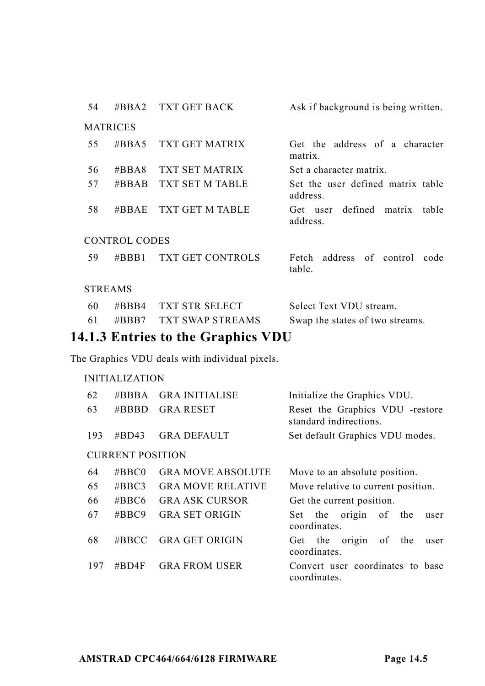| 54             | $\# \text{BBA2}$ | TXT GET BACK            | Ask if background is being written.           |  |
|----------------|------------------|-------------------------|-----------------------------------------------|--|
|                | <b>MATRICES</b>  |                         |                                               |  |
| 55             | #BBA5            | <b>TXT GET MATRIX</b>   | Get the address of a character<br>matrix.     |  |
| 56             | $\#BBA8$         | TXT SET MATRIX          | Set a character matrix.                       |  |
| 57             | #BBAB            | <b>TXT SET M TABLE</b>  | Set the user defined matrix table<br>address. |  |
| 58             | $\# \text{BBAE}$ | TXT GET M TABLE         | Get user defined matrix<br>table<br>address.  |  |
|                | CONTROL CODES    |                         |                                               |  |
| 59.            | $\#BBB1$         | <b>TXT GET CONTROLS</b> | Fetch address of control code<br>table.       |  |
| <b>STREAMS</b> |                  |                         |                                               |  |
| $\sim$ $\sim$  | $\mathbf{u}$     | THE CTD CDL DOT         | $\alpha$ 1 $\alpha$ $\alpha$ $\alpha$         |  |

|     | $\sim$ $\sim$ $\sim$ $\sim$ |                                 |
|-----|-----------------------------|---------------------------------|
| -61 | #BBB7 TXT SWAP STREAMS      | Swap the states of two streams. |
| -60 | #BBB4 TXT STR SELECT        | Select Text VDU stream.         |

### **14.1.3 Entries to the Graphics VDU**

The Graphics VDU deals with individual pixels.

| 62  | #BBBA                   | <b>GRA INITIALISE</b>    | Initialize the Graphics VDU.                              |
|-----|-------------------------|--------------------------|-----------------------------------------------------------|
| 63  | $\#BBBD$                | <b>GRA RESET</b>         | Reset the Graphics VDU -restore<br>standard indirections. |
| 193 | #BD43                   | <b>GRA DEFAULT</b>       | Set default Graphics VDU modes.                           |
|     | <b>CURRENT POSITION</b> |                          |                                                           |
| 64  | $\#BBC0$                | <b>GRA MOVE ABSOLUTE</b> | Move to an absolute position.                             |
| 65  | $\#BBC3$                | <b>GRA MOVE RELATIVE</b> | Move relative to current position.                        |
| 66  | #BBC6                   | <b>GRA ASK CURSOR</b>    | Get the current position.                                 |
| 67  | $\#BBC9$                | <b>GRA SET ORIGIN</b>    | the origin of the<br>Set<br>user<br>coordinates.          |
| 68  | $\#BBCC$                | <b>GRA GET ORIGIN</b>    | Get the origin<br>of<br>the<br>user<br>coordinates.       |
| 197 | # $BD4F$                | <b>GRA FROM USER</b>     | Convert user coordinates to base<br>coordinates.          |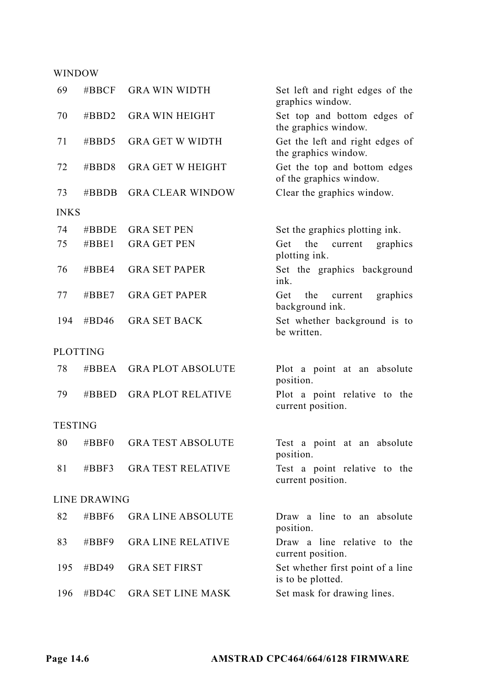#### WINDOW

| 69          | #BBCF        | <b>GRA WIN WIDTH</b>     | Set left and right edges of the<br>graphics window.     |
|-------------|--------------|--------------------------|---------------------------------------------------------|
| 70          | $\#BBD2$     | <b>GRA WIN HEIGHT</b>    | Set top and bottom edges of<br>the graphics window.     |
| 71          | $\#$ BBD5    | <b>GRA GET W WIDTH</b>   | Get the left and right edges of<br>the graphics window. |
| 72          | $\#BBD8$     | <b>GRA GET W HEIGHT</b>  | Get the top and bottom edges<br>of the graphics window. |
| 73          | # $BBDB$     | <b>GRA CLEAR WINDOW</b>  | Clear the graphics window.                              |
| <b>INKS</b> |              |                          |                                                         |
| 74          | $\#BBDE$     | <b>GRA SET PEN</b>       | Set the graphics plotting ink.                          |
| 75          | $\#BBE1$     | <b>GRA GET PEN</b>       | the<br>current<br>Get<br>graphics<br>plotting ink.      |
| 76          | $\#BBE4$     | <b>GRA SET PAPER</b>     | Set the graphics background<br>ink.                     |
| 77          | $\#BBE7$     | <b>GRA GET PAPER</b>     | Get<br>the<br>current<br>graphics<br>background ink.    |
| 194         | #BD46        | <b>GRA SET BACK</b>      | Set whether background is to<br>be written.             |
|             | PLOTTING     |                          |                                                         |
| 78          | #BBEA        | <b>GRAPLOT ABSOLUTE</b>  | Plot a point at an absolute<br>position.                |
| 79          | $\#$ BBED    | <b>GRA PLOT RELATIVE</b> | Plot a point relative to the<br>current position.       |
| TESTING     |              |                          |                                                         |
| 80          | $\#BBF0$     | <b>GRA TEST ABSOLUTE</b> | Test a point at an absolute<br>position.                |
| 81          | $\#BBF3$     | <b>GRA TEST RELATIVE</b> | Test a point relative to the<br>current position.       |
|             | LINE DRAWING |                          |                                                         |
| 82          | $\#BBF6$     | <b>GRA LINE ABSOLUTE</b> | Draw a line to an absolute<br>position.                 |
| 83          | #BBF9        | <b>GRA LINE RELATIVE</b> | Draw a line relative to the<br>current position.        |
| 195         | #BD49        | <b>GRA SET FIRST</b>     | Set whether first point of a line<br>is to be plotted.  |
| 196         | #BD4C        | <b>GRA SET LINE MASK</b> | Set mask for drawing lines.                             |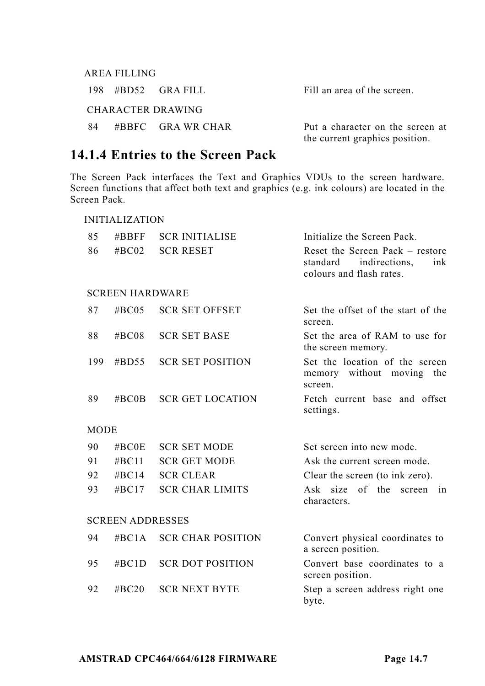|    | AREA FILLING |                      |                                                                    |
|----|--------------|----------------------|--------------------------------------------------------------------|
|    |              | $198$ #BD52 GRAFILL  | Fill an area of the screen.                                        |
|    |              | CHARACTER DRAWING    |                                                                    |
| 84 |              | $\#B$ BFC GRAWR CHAR | Put a character on the screen at<br>the current graphics position. |

### **14.1.4 Entries to the Screen Pack**

The Screen Pack interfaces the Text and Graphics VDUs to the screen hardware. Screen functions that affect both text and graphics (e.g. ink colours) are located in the Screen Pack.

|             | <b>INITIALIZATION</b>   |                          |                                                                                                |  |  |
|-------------|-------------------------|--------------------------|------------------------------------------------------------------------------------------------|--|--|
| 85          | $\#BBFF$                | <b>SCR INITIALISE</b>    | Initialize the Screen Pack.                                                                    |  |  |
| 86          | $\#BCO2$                | <b>SCR RESET</b>         | Reset the Screen Pack $-$ restore<br>standard indirections.<br>ink<br>colours and flash rates. |  |  |
|             | <b>SCREEN HARDWARE</b>  |                          |                                                                                                |  |  |
| 87          | $\#BCO5$                | <b>SCR SET OFFSET</b>    | Set the offset of the start of the<br>screen.                                                  |  |  |
| 88          | #BC08                   | <b>SCR SET BASE</b>      | Set the area of RAM to use for<br>the screen memory.                                           |  |  |
| 199         | $\#$ BD55               | <b>SCR SET POSITION</b>  | Set the location of the screen<br>memory without moving the<br>screen.                         |  |  |
| 89          | $\#BCOB$                | <b>SCR GET LOCATION</b>  | Fetch current base and offset<br>settings.                                                     |  |  |
| <b>MODE</b> |                         |                          |                                                                                                |  |  |
| 90          | $\# \text{BCOE}$        | <b>SCR SET MODE</b>      | Set screen into new mode.                                                                      |  |  |
| 91          | $\#BC11$                | <b>SCR GET MODE</b>      | Ask the current screen mode.                                                                   |  |  |
| 92          | $\#BC14$                | <b>SCR CLEAR</b>         | Clear the screen (to ink zero).                                                                |  |  |
| 93          | $\#BC17$                | <b>SCR CHAR LIMITS</b>   | of the<br>Ask size<br>screen in<br>characters.                                                 |  |  |
|             | <b>SCREEN ADDRESSES</b> |                          |                                                                                                |  |  |
| 94          | $\#BC1A$                | <b>SCR CHAR POSITION</b> | Convert physical coordinates to<br>a screen position.                                          |  |  |
| 95          | $\#BC1D$                | <b>SCR DOT POSITION</b>  | Convert base coordinates to a<br>screen position.                                              |  |  |
| 92          | $\#BC20$                | <b>SCR NEXT BYTE</b>     | Step a screen address right one<br>byte.                                                       |  |  |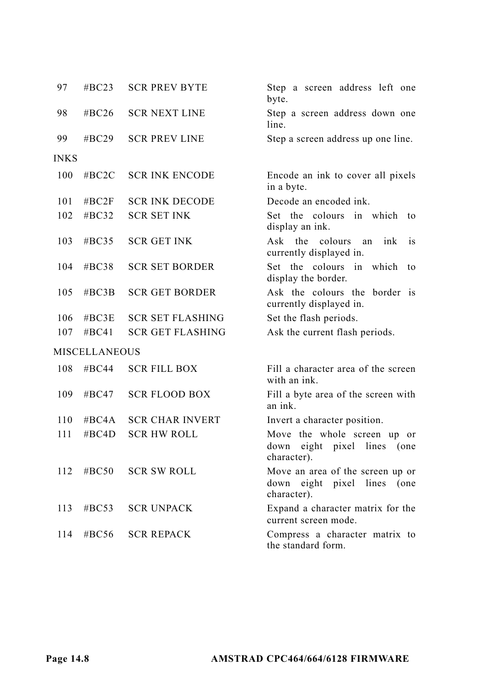| 97          | #BC23                | <b>SCR PREV BYTE</b>    | Step a screen address left one<br>byte.                                                 |
|-------------|----------------------|-------------------------|-----------------------------------------------------------------------------------------|
| 98          | # $BC26$             | <b>SCR NEXT LINE</b>    | Step a screen address down one<br>line.                                                 |
| 99          | # $BC29$             | <b>SCR PREV LINE</b>    | Step a screen address up one line.                                                      |
| <b>INKS</b> |                      |                         |                                                                                         |
| 100         | #BC2C                | <b>SCR INK ENCODE</b>   | Encode an ink to cover all pixels<br>in a byte.                                         |
| 101         | #BC2F                | <b>SCR INK DECODE</b>   | Decode an encoded ink.                                                                  |
| 102         | $\#BC32$             | <b>SCR SET INK</b>      | Set the colours in which<br>to<br>display an ink.                                       |
| 103         | $\#BC35$             | <b>SCR GET INK</b>      | Ask the<br>colours<br>ink<br>is<br>an<br>currently displayed in.                        |
| 104         | #BC38                | <b>SCR SET BORDER</b>   | Set the colours in which<br>to<br>display the border.                                   |
| 105         | #BC3B                | <b>SCR GET BORDER</b>   | Ask the colours the border is<br>currently displayed in.                                |
| 106         | #BC3E                | <b>SCR SET FLASHING</b> | Set the flash periods.                                                                  |
| 107         | #BC41                | <b>SCR GET FLASHING</b> | Ask the current flash periods.                                                          |
|             | <b>MISCELLANEOUS</b> |                         |                                                                                         |
| 108         | # $BC44$             | <b>SCR FILL BOX</b>     | Fill a character area of the screen<br>with an ink.                                     |
| 109         | $\#BC47$             | <b>SCR FLOOD BOX</b>    | Fill a byte area of the screen with<br>an ink.                                          |
| 110         | $\#BC4A$             | <b>SCR CHAR INVERT</b>  | Invert a character position.                                                            |
| 111         | $\#BC4D$             | <b>SCR HW ROLL</b>      | Move the whole screen up or<br>eight pixel<br>down<br>lines<br>(one<br>character).      |
| 112         | $\#BC50$             | <b>SCR SW ROLL</b>      | Move an area of the screen up or<br>eight pixel<br>lines<br>(one<br>down<br>character). |
| 113         | #BC53                | <b>SCR UNPACK</b>       | Expand a character matrix for the<br>current screen mode.                               |
| 114         | $\#BC56$             | <b>SCR REPACK</b>       | Compress a character matrix to<br>the standard form.                                    |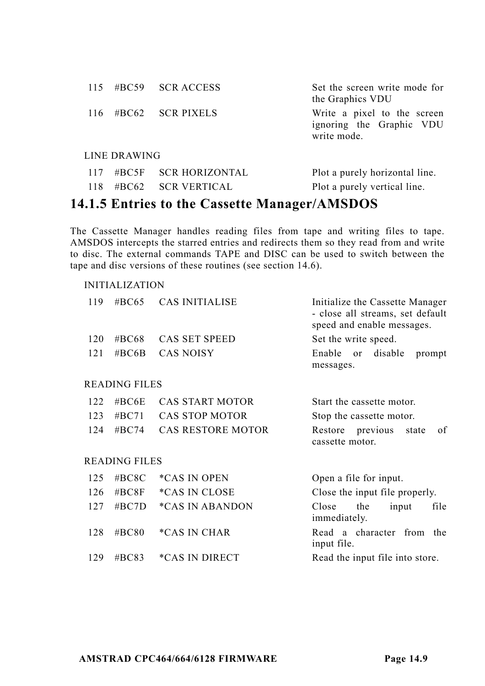|     |                     | 115 #BC59 SCRACCESS    | Set the screen write mode for<br>the Graphics VDU                      |
|-----|---------------------|------------------------|------------------------------------------------------------------------|
|     |                     | $116$ #BC62 SCR PIXELS | Write a pixel to the screen<br>ignoring the Graphic VDU<br>write mode. |
|     | <b>LINE DRAWING</b> |                        |                                                                        |
| 117 |                     | #BC5F SCR HORIZONTAL   | Plot a purely horizontal line.                                         |

# 118 #BC62 SCR VERTICAL Plot a purely vertical line.

### **14.1.5 Entries to the Cassette Manager/AMSDOS**

The Cassette Manager handles reading files from tape and writing files to tape. AMSDOS intercepts the starred entries and redirects them so they read from and write to disc. The external commands TAPE and DISC can be used to switch between the tape and disc versions of these routines (see section 14.6).

| 119 | #BC65         | <b>CAS INITIALISE</b>    | Initialize the Cassette Manager<br>- close all streams, set default<br>speed and enable messages. |
|-----|---------------|--------------------------|---------------------------------------------------------------------------------------------------|
| 120 | #BC68         | CAS SET SPEED            | Set the write speed.                                                                              |
| 121 | #BC6B         | <b>CAS NOISY</b>         | Enable<br>disable<br><sub>or</sub><br>prompt<br>messages.                                         |
|     | READING FILES |                          |                                                                                                   |
| 122 | # $BC6E$      | CAS START MOTOR          | Start the cassette motor.                                                                         |
| 123 | #BC71         | <b>CAS STOP MOTOR</b>    | Stop the cassette motor.                                                                          |
| 124 | #BC74         | <b>CAS RESTORE MOTOR</b> | Restore previous state<br>of<br>cassette motor.                                                   |
|     | READING FILES |                          |                                                                                                   |
| 125 | #BC8C         | <i>*CAS IN OPEN</i>      | Open a file for input.                                                                            |
| 126 | # $BC8F$      | <i>*CAS IN CLOSE</i>     | Close the input file properly.                                                                    |
| 127 | # $BC7D$      | <i>*CAS IN ABANDON</i>   | file<br>Close<br>the<br>input<br>immediately.                                                     |
| 128 | # $BC80$      | <i>*CAS IN CHAR</i>      | Read a character from the<br>input file.                                                          |
| 129 | # $BC83$      | *CAS IN DIRECT           | Read the input file into store.                                                                   |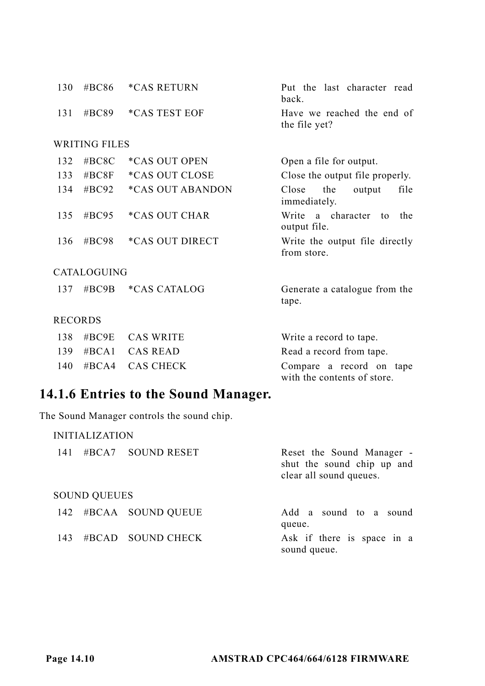| 130            | #BC86                | <i><b>*CAS RETURN</b></i> | Put the last character read<br>back.                    |
|----------------|----------------------|---------------------------|---------------------------------------------------------|
| 131            | #BC89                | <i>*CAS TEST EOF</i>      | Have we reached the end of<br>the file yet?             |
|                | <b>WRITING FILES</b> |                           |                                                         |
| 132            | #BC8C                | *CAS OUT OPEN             | Open a file for output.                                 |
| 133            | #BC8F                | *CAS OUT CLOSE            | Close the output file properly.                         |
| 134            | #BC92                | <i>*CAS OUT ABANDON</i>   | Close<br>the<br>file<br>output<br>immediately.          |
| 135            | $\#BC95$             | <i>*CAS OUT CHAR</i>      | Write a character to<br>the.<br>output file.            |
| 136            | #BC98                | <i>*CAS OUT DIRECT</i>    | Write the output file directly<br>from store.           |
|                | CATALOGUING          |                           |                                                         |
| 137            | # $BC9B$             | <i>*CAS CATALOG</i>       | Generate a catalogue from the<br>tape.                  |
| <b>RECORDS</b> |                      |                           |                                                         |
| 138            | $\#BC9E$             | <b>CAS WRITE</b>          | Write a record to tape.                                 |
| 139            | $\#BCA1$             | CAS READ                  | Read a record from tape.                                |
| 140            | $\#BCA4$             | <b>CAS CHECK</b>          | Compare a record on tape<br>with the contents of store. |

# **14.1.6 Entries to the Sound Manager.**

The Sound Manager controls the sound chip.

|     | <b>INITIALIZATION</b> |                       |                                                                                    |  |  |
|-----|-----------------------|-----------------------|------------------------------------------------------------------------------------|--|--|
| 141 |                       | #BCA7 SOUND RESET     | Reset the Sound Manager -<br>shut the sound chip up and<br>clear all sound queues. |  |  |
|     | <b>SOUND OUEUES</b>   |                       |                                                                                    |  |  |
|     |                       | 142 #BCAA SOUND QUEUE | Add a sound to a sound<br>queue.                                                   |  |  |
| 143 |                       | $\#$ BCAD SOUND CHECK | Ask if there is space in a<br>sound queue.                                         |  |  |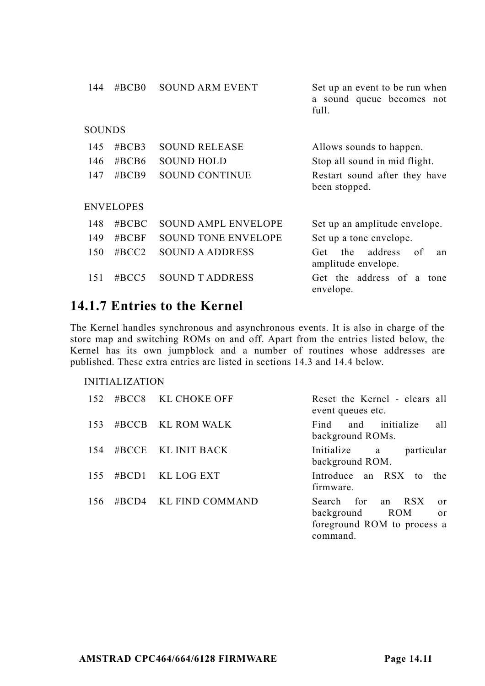| 144           | $\#BCB0$         | SOUND ARM EVENT       | Set up an event to be run when<br>a sound queue becomes not<br>full. |
|---------------|------------------|-----------------------|----------------------------------------------------------------------|
| <b>SOUNDS</b> |                  |                       |                                                                      |
| 145           | $\#BCB3$         | <b>SOUND RELEASE</b>  | Allows sounds to happen.                                             |
| 146           | #BCB6            | <b>SOUND HOLD</b>     | Stop all sound in mid flight.                                        |
| 147           | $\#BCB9$         | <b>SOUND CONTINUE</b> | Restart sound after they have<br>been stopped.                       |
|               | <b>ENVELOPES</b> |                       |                                                                      |
| 148           | $\#$ BCBC        | SOUND AMPL ENVELOPE   | Set up an amplitude envelope.                                        |
| 149           | $\#$ BCBF        | SOUND TONE ENVELOPE   | Set up a tone envelope.                                              |
| 150           | $\#BCC2$         | SOUND A ADDRESS       | address<br>of<br>the<br>Get<br>an<br>amplitude envelope.             |
| 151           | #BCC5            | SOUND T ADDRESS       | Get the address of a tone<br>envelope.                               |

### **14.1.7 Entries to the Kernel**

The Kernel handles synchronous and asynchronous events. It is also in charge of the store map and switching ROMs on and off. Apart from the entries listed below, the Kernel has its own jumpblock and a number of routines whose addresses are published. These extra entries are listed in sections 14.3 and 14.4 below.

| 152 |       | #BCC8 KL CHOKE OFF | Reset the Kernel - clears all<br>event queues etc.                                                           |
|-----|-------|--------------------|--------------------------------------------------------------------------------------------------------------|
| 153 |       | #BCCB KL ROM WALK  | and initialize<br>Find<br>all<br>background ROMs.                                                            |
| 154 |       | #BCCE KL INIT BACK | Initialize a<br>particular<br>background ROM.                                                                |
| 155 | #BCD1 | KL LOG EXT         | Introduce an RSX to the<br>firmware.                                                                         |
| 156 | #BCD4 | KL FIND COMMAND    | Search for an RSX<br>$\alpha$ r<br>background ROM<br><sub>or</sub><br>foreground ROM to process a<br>command |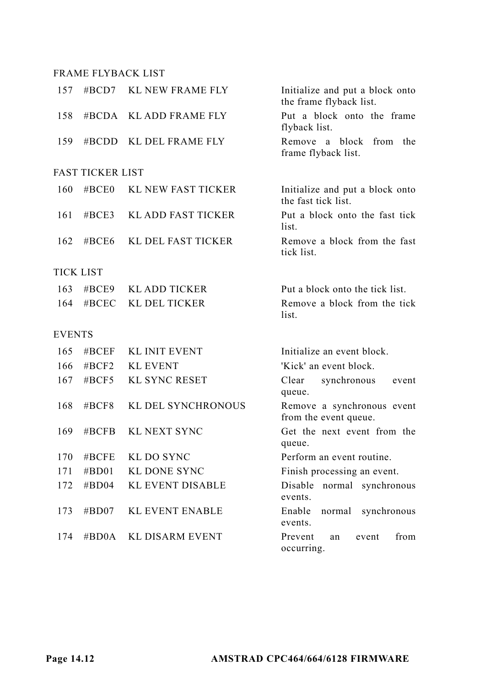#### FRAME FLYBACK LIST

| 157           | #BCD7                   | <b>KL NEW FRAME FLY</b>   | Initialize and put a block onto<br>the frame flyback list. |
|---------------|-------------------------|---------------------------|------------------------------------------------------------|
| 158           | #BCDA                   | <b>KL ADD FRAME FLY</b>   | Put a block onto the frame<br>flyback list.                |
| 159           | #BCDD                   | KL DEL FRAME FLY          | block<br>Remove a<br>from<br>the<br>frame flyback list.    |
|               | <b>FAST TICKER LIST</b> |                           |                                                            |
| 160           | $\#BCE0$                | <b>KL NEW FAST TICKER</b> | Initialize and put a block onto<br>the fast tick list.     |
| 161           | #BCE3                   | <b>KL ADD FAST TICKER</b> | Put a block onto the fast tick<br>list.                    |
| 162           | #BCE6                   | KL DEL FAST TICKER        | Remove a block from the fast<br>tick list.                 |
|               | TICK LIST               |                           |                                                            |
| 163           | #BCE9                   | <b>KL ADD TICKER</b>      | Put a block onto the tick list.                            |
| 164           | #BCEC                   | <b>KL DEL TICKER</b>      | Remove a block from the tick<br>list.                      |
| <b>EVENTS</b> |                         |                           |                                                            |
| 165           | #BCEF                   | <b>KL INIT EVENT</b>      | Initialize an event block.                                 |
| 166           | #BCF2                   | <b>KL EVENT</b>           | 'Kick' an event block.                                     |
| 167           | #BCF5                   | <b>KL SYNC RESET</b>      | Clear<br>synchronous<br>event<br>queue.                    |
| 168           | #BCF8                   | KL DEL SYNCHRONOUS        | Remove a synchronous event<br>from the event queue.        |
| 169           | #BCFB                   | KL NEXT SYNC              | Get the next event from the<br>queue.                      |
| 170           | #BCFE                   | KL DO SYNC                | Perform an event routine.                                  |
| 171           | #BD01                   | <b>KL DONE SYNC</b>       | Finish processing an event.                                |
| 172           | $\#BDO4$                | <b>KL EVENT DISABLE</b>   | Disable<br>normal synchronous<br>events.                   |
| 173           | $\#BDO7$                | <b>KL EVENT ENABLE</b>    | Enable<br>normal<br>synchronous<br>events.                 |
| 174           | $\#BDOA$                | <b>KL DISARM EVENT</b>    | Prevent<br>from<br>event<br>an<br>occurring.               |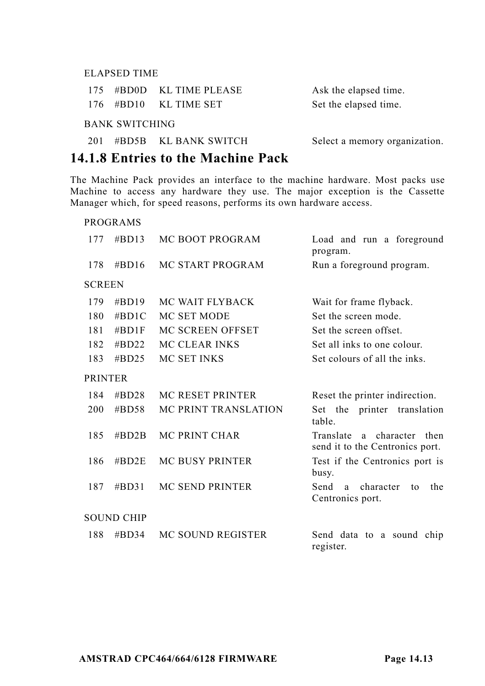#### ELAPSED TIME

|                 | 175 #BD0D KL TIME PLEASE | Ask the elapsed time.         |  |  |  |
|-----------------|--------------------------|-------------------------------|--|--|--|
|                 | $176$ #BD10 KL TIME SET  | Set the elapsed time.         |  |  |  |
| BANK SWITCHING- |                          |                               |  |  |  |
|                 | 201 #BD5B KL BANK SWITCH | Select a memory organization. |  |  |  |

#### **14.1.8 Entries to the Machine Pack**

The Machine Pack provides an interface to the machine hardware. Most packs use Machine to access any hardware they use. The major exception is the Cassette Manager which, for speed reasons, performs its own hardware access.

#### PROGRAMS

| 177            | $\#BD13$          | <b>MC BOOT PROGRAM</b>  | Load and run a foreground<br>program.                            |  |
|----------------|-------------------|-------------------------|------------------------------------------------------------------|--|
| 178            | $\#BD16$          | MC START PROGRAM        | Run a foreground program.                                        |  |
| <b>SCREEN</b>  |                   |                         |                                                                  |  |
| 179            | $\#BD19$          | MC WAIT FLYBACK         | Wait for frame flyback.                                          |  |
| 180            | $\#BD1C$          | MC SET MODE             | Set the screen mode.                                             |  |
| 181            | $\#BD1F$          | MC SCREEN OFFSET        | Set the screen offset.                                           |  |
| 182            | $\#$ BD22         | <b>MC CLEAR INKS</b>    | Set all inks to one colour.                                      |  |
| 183            | $\#$ BD25         | MC SET INKS             | Set colours of all the inks.                                     |  |
| <b>PRINTER</b> |                   |                         |                                                                  |  |
| 184            | $\#$ BD28         | <b>MC RESET PRINTER</b> | Reset the printer indirection.                                   |  |
| 200            | $\#BDS8$          | MC PRINT TRANSLATION    | Set the printer translation<br>table.                            |  |
| 185            | $\#BD2B$          | <b>MC PRINT CHAR</b>    | a character then<br>Translate<br>send it to the Centronics port. |  |
| 186            | $\#BD2E$          | <b>MC BUSY PRINTER</b>  | Test if the Centronics port is<br>busy.                          |  |
| 187            | #BD31             | MC SEND PRINTER         | Send<br>character<br>the<br>a<br>to<br>Centronics port.          |  |
|                | <b>SOUND CHIP</b> |                         |                                                                  |  |
| 188            | #BD34             | MC SOUND REGISTER       | Send data to a sound chip<br>register.                           |  |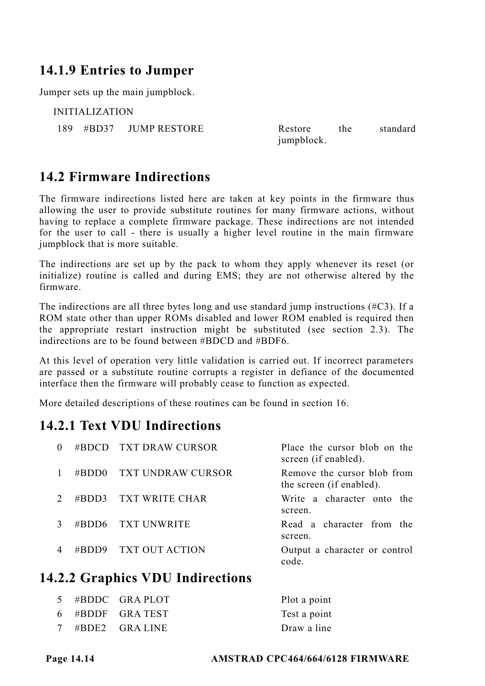### **14.1.9 Entries to Jumper**

Jumper sets up the main jumpblock.

INITIALIZATION 189 #BD37 JUMP RESTORE Restore the standard

jumpblock.

### **14.2 Firmware Indirections**

The firmware indirections listed here are taken at key points in the firmware thus allowing the user to provide substitute routines for many firmware actions, without having to replace a complete firmware package. These indirections are not intended for the user to call - there is usually a higher level routine in the main firmware jumpblock that is more suitable.

The indirections are set up by the pack to whom they apply whenever its reset (or initialize) routine is called and during EMS; they are not otherwise altered by the firmware.

The indirections are all three bytes long and use standard jump instructions (#C3). If a ROM state other than upper ROMs disabled and lower ROM enabled is required then the appropriate restart instruction might be substituted (see section 2.3). The indirections are to be found between #BDCD and #BDF6.

At this level of operation very little validation is carried out. If incorrect parameters are passed or a substitute routine corrupts a register in defiance of the documented interface then the firmware will probably cease to function as expected.

More detailed descriptions of these routines can be found in section 16.

### **14.2.1 Text VDU Indirections**

| $\Omega$ |           | #BDCD TXT DRAW CURSOR | Place the cursor blob on the<br>screen (if enabled).    |
|----------|-----------|-----------------------|---------------------------------------------------------|
|          | #BDD0     | TXT UNDRAW CURSOR     | Remove the cursor blob from<br>the screen (if enabled). |
|          | $\#$ RDD3 | TXT WRITE CHAR        | Write a character onto the<br>screen.                   |
|          |           | #BDD6 TXT UNWRITE     | Read a character from the<br>screen.                    |
|          | #BDD9     | - TXT OUT ACTION      | Output a character or control<br>code                   |

### **14.2.2 Graphics VDU Indirections**

|  | 5 #BDDC GRAPLOT   | Plot a point |
|--|-------------------|--------------|
|  | $6$ #BDDF GRATEST | Test a point |
|  | 7 #BDE2 GRALINE   | Draw a line  |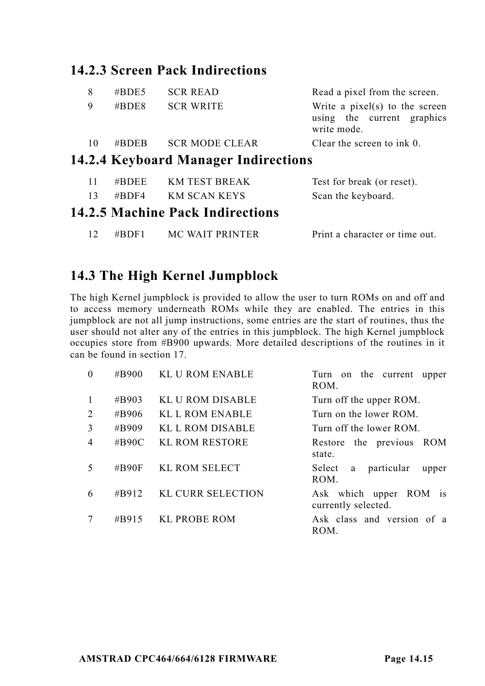### **14.2.3 Screen Pack Indirections**

| 8  | #BDE5    | <b>SCR READ</b>                             | Read a pixel from the screen.                                                 |
|----|----------|---------------------------------------------|-------------------------------------------------------------------------------|
| 9  | $\#BDE8$ | <b>SCR WRITE</b>                            | Write a $pixel(s)$ to the screen<br>using the current graphics<br>write mode. |
| 10 | $\#BDEB$ | <b>SCR MODE CLEAR</b>                       | Clear the screen to ink 0.                                                    |
|    |          | <b>14.2.4 Keyboard Manager Indirections</b> |                                                                               |
| 11 | $\#BDEE$ | <b>KM TEST BREAK</b>                        | Test for break (or reset).                                                    |

#### 13 #BDF4 KM SCAN KEYS Scan the keyboard. **14.2.5 Machine Pack Indirections**

12 #BDF1 MC WAIT PRINTER Print a character or time out.

# **14.3 The High Kernel Jumpblock**

The high Kernel jumpblock is provided to allow the user to turn ROMs on and off and to access memory underneath ROMs while they are enabled. The entries in this jumpblock are not all jump instructions, some entries are the start of routines, thus the user should not alter any of the entries in this jumpblock. The high Kernel jumpblock occupies store from #B900 upwards. More detailed descriptions of the routines in it can be found in section 17.

| $\Omega$       | #B900    | <b>KL U ROM ENABLE</b>   | Turn on the current upper<br>ROM.             |
|----------------|----------|--------------------------|-----------------------------------------------|
| 1              | #B903    | <b>KLU ROM DISABLE</b>   | Turn off the upper ROM.                       |
| 2              | #B906    | <b>KL L ROM ENABLE</b>   | Turn on the lower ROM.                        |
| 3              | #B909    | KL L ROM DISABLE         | Turn off the lower ROM.                       |
| $\overline{4}$ | #B90C    | <b>KL ROM RESTORE</b>    | Restore the previous ROM<br>state.            |
| 5              | #B90F    | <b>KL ROM SELECT</b>     | a particular<br>Select<br>upper<br>ROM.       |
| 6              | $\#B912$ | <b>KL CURR SELECTION</b> | Ask which upper ROM is<br>currently selected. |
|                | #B915    | <b>KL PROBE ROM</b>      | Ask class and version of a<br>ROM.            |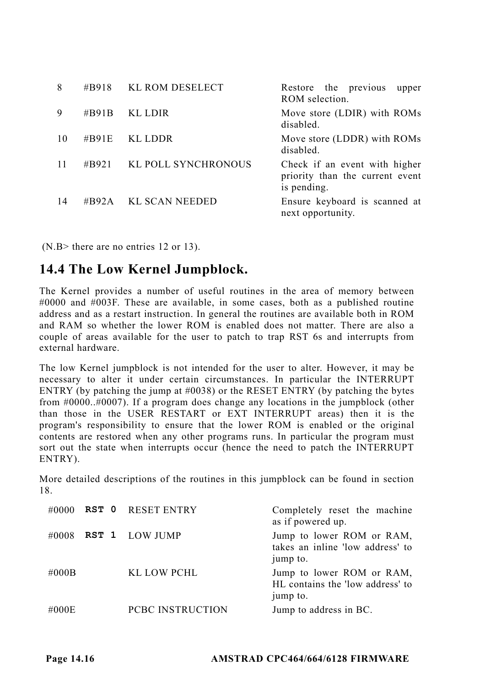| 8  |          | #B918 KL ROM DESELECT | Restore the previous<br>upper<br>ROM selection.                                 |
|----|----------|-----------------------|---------------------------------------------------------------------------------|
| 9  | #B91B    | KL LDIR               | Move store (LDIR) with ROMs<br>disabled.                                        |
| 10 | $\#B91E$ | KL LDDR               | Move store (LDDR) with ROMs<br>disabled.                                        |
| 11 | #B921    | KL POLL SYNCHRONOUS   | Check if an event with higher<br>priority than the current event<br>is pending. |
| 14 | #B92A    | KL SCAN NEEDED        | Ensure keyboard is scanned at<br>next opportunity.                              |

(N.B> there are no entries 12 or 13).

### **14.4 The Low Kernel Jumpblock.**

The Kernel provides a number of useful routines in the area of memory between #0000 and #003F. These are available, in some cases, both as a published routine address and as a restart instruction. In general the routines are available both in ROM and RAM so whether the lower ROM is enabled does not matter. There are also a couple of areas available for the user to patch to trap RST 6s and interrupts from external hardware.

The low Kernel jumpblock is not intended for the user to alter. However, it may be necessary to alter it under certain circumstances. In particular the INTERRUPT ENTRY (by patching the jump at #0038) or the RESET ENTRY (by patching the bytes from #0000..#0007). If a program does change any locations in the jumpblock (other than those in the USER RESTART or EXT INTERRUPT areas) then it is the program's responsibility to ensure that the lower ROM is enabled or the original contents are restored when any other programs runs. In particular the program must sort out the state when interrupts occur (hence the need to patch the INTERRUPT ENTRY).

More detailed descriptions of the routines in this jumpblock can be found in section 18.

|       | $\#0000$ RST 0 RESET ENTRY | Completely reset the machine<br>as if powered up.                         |
|-------|----------------------------|---------------------------------------------------------------------------|
| #0008 | RST 1 LOW JUMP             | Jump to lower ROM or RAM,<br>takes an inline 'low address' to<br>jump to. |
| #000B | KL LOW PCHL                | Jump to lower ROM or RAM,<br>HL contains the 'low address' to<br>jump to. |
| #000E | PCBC INSTRUCTION           | Jump to address in BC.                                                    |